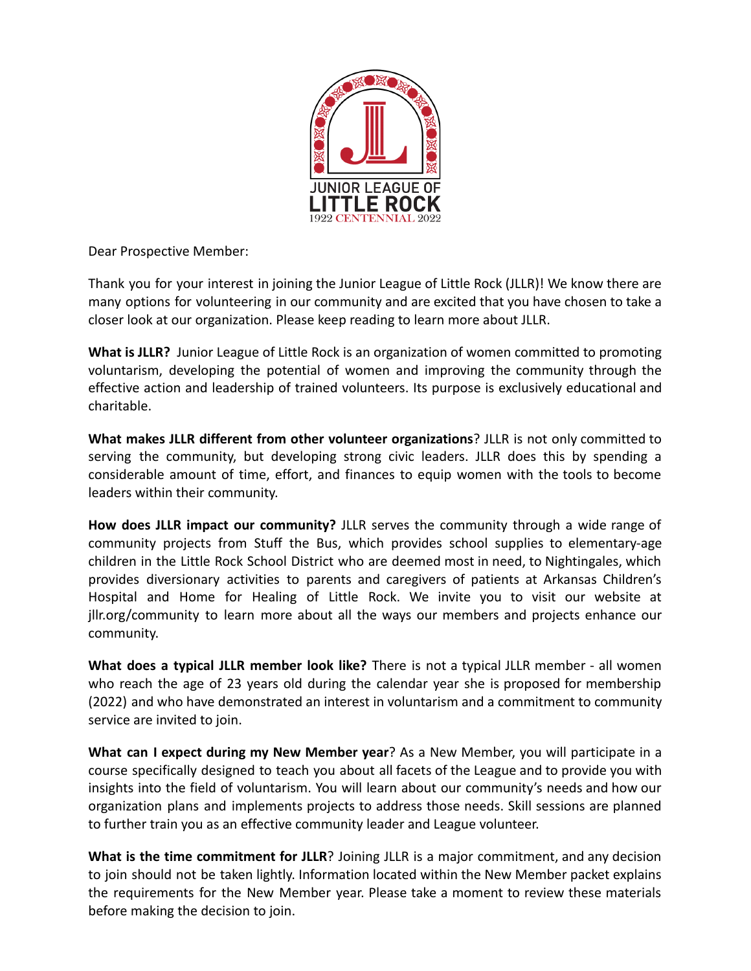

Dear Prospective Member:

Thank you for your interest in joining the Junior League of Little Rock (JLLR)! We know there are many options for volunteering in our community and are excited that you have chosen to take a closer look at our organization. Please keep reading to learn more about JLLR.

**What is JLLR?** Junior League of Little Rock is an organization of women committed to promoting voluntarism, developing the potential of women and improving the community through the effective action and leadership of trained volunteers. Its purpose is exclusively educational and charitable.

**What makes JLLR different from other volunteer organizations**? JLLR is not only committed to serving the community, but developing strong civic leaders. JLLR does this by spending a considerable amount of time, effort, and finances to equip women with the tools to become leaders within their community.

**How does JLLR impact our community?** JLLR serves the community through a wide range of community projects from Stuff the Bus, which provides school supplies to elementary-age children in the Little Rock School District who are deemed most in need, to Nightingales, which provides diversionary activities to parents and caregivers of patients at Arkansas Children's Hospital and Home for Healing of Little Rock. We invite you to visit our website at jllr.org/community to learn more about all the ways our members and projects enhance our community.

**What does a typical JLLR member look like?** There is not a typical JLLR member - all women who reach the age of 23 years old during the calendar year she is proposed for membership (2022) and who have demonstrated an interest in voluntarism and a commitment to community service are invited to join.

**What can I expect during my New Member year**? As a New Member, you will participate in a course specifically designed to teach you about all facets of the League and to provide you with insights into the field of voluntarism. You will learn about our community's needs and how our organization plans and implements projects to address those needs. Skill sessions are planned to further train you as an effective community leader and League volunteer.

**What is the time commitment for JLLR**? Joining JLLR is a major commitment, and any decision to join should not be taken lightly. Information located within the New Member packet explains the requirements for the New Member year. Please take a moment to review these materials before making the decision to join.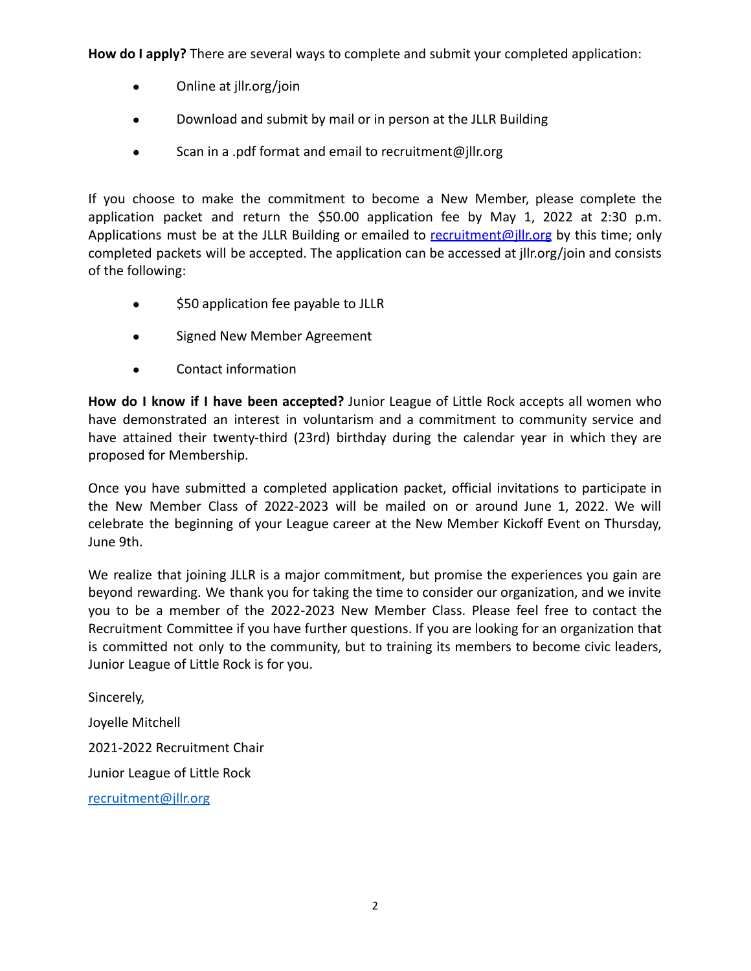**How do I apply?** There are several ways to complete and submit your completed application:

- Online at jllr.org/join
- Download and submit by mail or in person at the JLLR Building
- Scan in a .pdf format and email to recruitment@jllr.org

If you choose to make the commitment to become a New Member, please complete the application packet and return the \$50.00 application fee by May 1, 2022 at 2:30 p.m. Applications must be at the JLLR Building or emailed to [recruitment@jllr.org](mailto:recruitment@jllr.org) by this time; only completed packets will be accepted. The application can be accessed at jllr.org/join and consists of the following:

- \$50 application fee payable to JLLR
- Signed New Member Agreement
- Contact information

**How do I know if I have been accepted?** Junior League of Little Rock accepts all women who have demonstrated an interest in voluntarism and a commitment to community service and have attained their twenty-third (23rd) birthday during the calendar year in which they are proposed for Membership.

Once you have submitted a completed application packet, official invitations to participate in the New Member Class of 2022-2023 will be mailed on or around June 1, 2022. We will celebrate the beginning of your League career at the New Member Kickoff Event on Thursday, June 9th.

We realize that joining JLLR is a major commitment, but promise the experiences you gain are beyond rewarding. We thank you for taking the time to consider our organization, and we invite you to be a member of the 2022-2023 New Member Class. Please feel free to contact the Recruitment Committee if you have further questions. If you are looking for an organization that is committed not only to the community, but to training its members to become civic leaders, Junior League of Little Rock is for you.

Sincerely, Joyelle Mitchell 2021-2022 Recruitment Chair Junior League of Little Rock [recruitment@jllr.org](http://../../../../../Downloads/recruitment@jllr.org)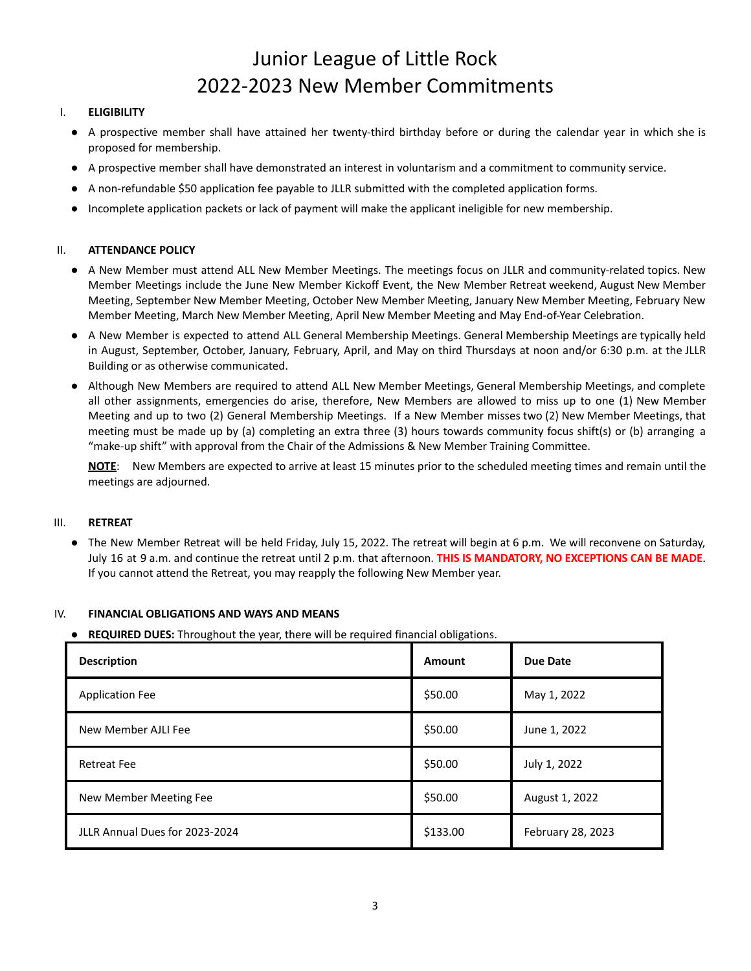# Junior League of Little Rock 2022-2023 New Member Commitments

## I. **ELIGIBILITY**

- A prospective member shall have attained her twenty-third birthday before or during the calendar year in which she is proposed for membership.
- A prospective member shall have demonstrated an interest in voluntarism and a commitment to community service.
- A non-refundable \$50 application fee payable to JLLR submitted with the completed application forms.
- Incomplete application packets or lack of payment will make the applicant ineligible for new membership.

## II. **ATTENDANCE POLICY**

- A New Member must attend ALL New Member Meetings. The meetings focus on JLLR and community-related topics. New Member Meetings include the June New Member Kickoff Event, the New Member Retreat weekend, August New Member Meeting, September New Member Meeting, October New Member Meeting, January New Member Meeting, February New Member Meeting, March New Member Meeting, April New Member Meeting and May End-of-Year Celebration.
- A New Member is expected to attend ALL General Membership Meetings. General Membership Meetings are typically held in August, September, October, January, February, April, and May on third Thursdays at noon and/or 6:30 p.m. at the JLLR Building or as otherwise communicated.
- Although New Members are required to attend ALL New Member Meetings, General Membership Meetings, and complete all other assignments, emergencies do arise, therefore, New Members are allowed to miss up to one (1) New Member Meeting and up to two (2) General Membership Meetings. If a New Member misses two (2) New Member Meetings, that meeting must be made up by (a) completing an extra three (3) hours towards community focus shift(s) or (b) arranging a "make-up shift" with approval from the Chair of the Admissions & New Member Training Committee.

**NOTE**: New Members are expected to arrive at least 15 minutes prior to the scheduled meeting times and remain until the meetings are adjourned.

## III. **RETREAT**

● The New Member Retreat will be held Friday, July 15, 2022. The retreat will begin at 6 p.m. We will reconvene on Saturday, July 16 at 9 a.m. and continue the retreat until 2 p.m. that afternoon. **THIS IS MANDATORY, NO EXCEPTIONS CAN BE MADE**. If you cannot attend the Retreat, you may reapply the following New Member year.

## IV. **FINANCIAL OBLIGATIONS AND WAYS AND MEANS**

● **REQUIRED DUES:** Throughout the year, there will be required financial obligations.

| <b>Description</b>             | Amount   | Due Date          |
|--------------------------------|----------|-------------------|
| <b>Application Fee</b>         | \$50.00  | May 1, 2022       |
| New Member AJLI Fee            | \$50.00  | June 1, 2022      |
| <b>Retreat Fee</b>             | \$50.00  | July 1, 2022      |
| New Member Meeting Fee         | \$50.00  | August 1, 2022    |
| JLLR Annual Dues for 2023-2024 | \$133.00 | February 28, 2023 |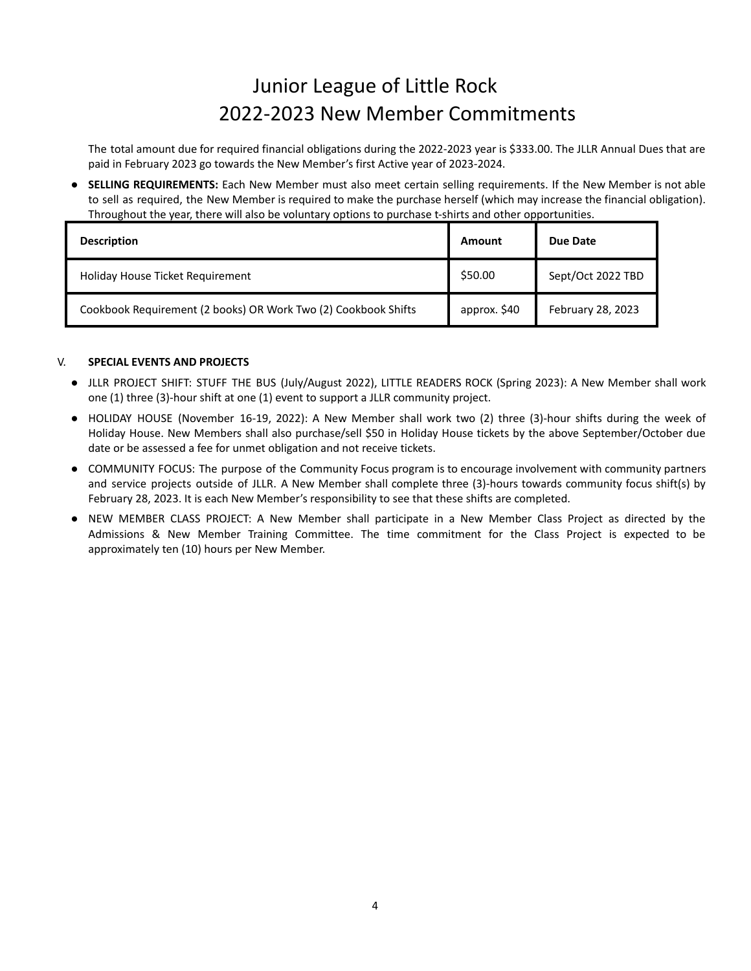## Junior League of Little Rock 2022-2023 New Member Commitments

The total amount due for required financial obligations during the 2022-2023 year is \$333.00. The JLLR Annual Dues that are paid in February 2023 go towards the New Member's first Active year of 2023-2024.

**SELLING REQUIREMENTS:** Each New Member must also meet certain selling requirements. If the New Member is not able to sell as required, the New Member is required to make the purchase herself (which may increase the financial obligation). Throughout the year, there will also be voluntary options to purchase t-shirts and other opportunities.

| <b>Description</b>                                             | Amount       | Due Date          |
|----------------------------------------------------------------|--------------|-------------------|
| Holiday House Ticket Requirement                               | \$50.00      | Sept/Oct 2022 TBD |
| Cookbook Requirement (2 books) OR Work Two (2) Cookbook Shifts | approx. \$40 | February 28, 2023 |

## V. **SPECIAL EVENTS AND PROJECTS**

- JLLR PROJECT SHIFT: STUFF THE BUS (July/August 2022), LITTLE READERS ROCK (Spring 2023): A New Member shall work one (1) three (3)-hour shift at one (1) event to support a JLLR community project.
- HOLIDAY HOUSE (November 16-19, 2022): A New Member shall work two (2) three (3)-hour shifts during the week of Holiday House. New Members shall also purchase/sell \$50 in Holiday House tickets by the above September/October due date or be assessed a fee for unmet obligation and not receive tickets.
- COMMUNITY FOCUS: The purpose of the Community Focus program is to encourage involvement with community partners and service projects outside of JLLR. A New Member shall complete three (3)-hours towards community focus shift(s) by February 28, 2023. It is each New Member's responsibility to see that these shifts are completed.
- NEW MEMBER CLASS PROJECT: A New Member shall participate in a New Member Class Project as directed by the Admissions & New Member Training Committee. The time commitment for the Class Project is expected to be approximately ten (10) hours per New Member.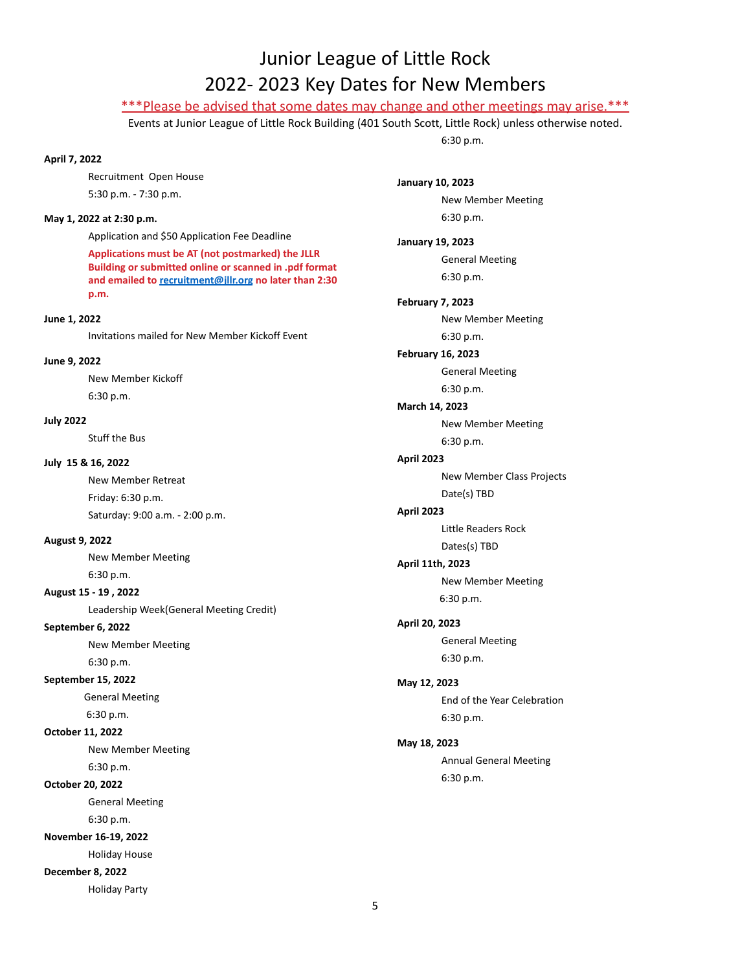## Junior League of Little Rock 2022- 2023 Key Dates for New Members

## \*\*\*Please be advised that some dates may change and other meetings may arise.\*\*\*

Events at Junior League of Little Rock Building (401 South Scott, Little Rock) unless otherwise noted.

6:30 p.m.

## **April 7, 2022**

Recruitment Open House 5:30 p.m. - 7:30 p.m.

#### **May 1, 2022 at 2:30 p.m.**

Application and \$50 Application Fee Deadline

**Applications must be AT (not postmarked) the JLLR Building or submitted online or scanned in .pdf format and emailed to [recruitment@jllr.org](mailto:recruitment@jllr.org) no later than 2:30 p.m.**

#### **June 1, 2022**

Invitations mailed for New Member Kickoff Event

#### **June 9, 2022**

New Member Kickoff 6:30 p.m.

**July 2022**

Stuff the Bus

#### **July 15 & 16, 2022**

New Member Retreat Friday: 6:30 p.m. Saturday: 9:00 a.m. - 2:00 p.m.

#### **August 9, 2022**

New Member Meeting 6:30 p.m.

#### **August 15 - 19 , 2022**

Leadership Week(General Meeting Credit)

### **September 6, 2022**

New Member Meeting 6:30 p.m.

#### **September 15, 2022**

General Meeting 6:30 p.m.

#### **October 11, 2022**

New Member Meeting 6:30 p.m.

#### **October 20, 2022**

General Meeting 6:30 p.m.

#### **November 16-19, 2022**

Holiday House

**December 8, 2022**

Holiday Party

**January 10, 2023** New Member Meeting 6:30 p.m. **January 19, 2023** General Meeting 6:30 p.m. **February 7, 2023** New Member Meeting 6:30 p.m. **February 16, 2023** General Meeting 6:30 p.m. **March 14, 2023** New Member Meeting 6:30 p.m. **April 2023** New Member Class Projects Date(s) TBD **April 2023** Little Readers Rock Dates(s) TBD **April 11th, 2023** New Member Meeting 6:30 p.m. **April 20, 2023** General Meeting 6:30 p.m. **May 12, 2023** End of the Year Celebration 6:30 p.m. **May 18, 2023** Annual General Meeting 6:30 p.m.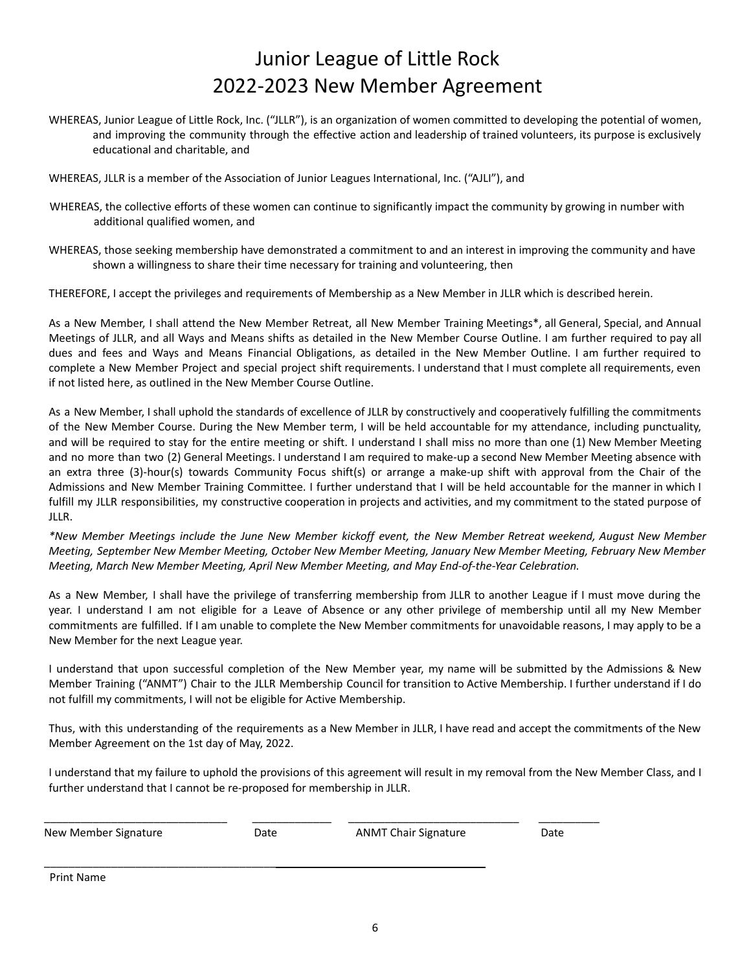## Junior League of Little Rock 2022-2023 New Member Agreement

WHEREAS, Junior League of Little Rock, Inc. ("JLLR"), is an organization of women committed to developing the potential of women, and improving the community through the effective action and leadership of trained volunteers, its purpose is exclusively educational and charitable, and

WHEREAS, JLLR is a member of the Association of Junior Leagues International, Inc. ("AJLI"), and

- WHEREAS, the collective efforts of these women can continue to significantly impact the community by growing in number with additional qualified women, and
- WHEREAS, those seeking membership have demonstrated a commitment to and an interest in improving the community and have shown a willingness to share their time necessary for training and volunteering, then

THEREFORE, I accept the privileges and requirements of Membership as a New Member in JLLR which is described herein.

As a New Member, I shall attend the New Member Retreat, all New Member Training Meetings\*, all General, Special, and Annual Meetings of JLLR, and all Ways and Means shifts as detailed in the New Member Course Outline. I am further required to pay all dues and fees and Ways and Means Financial Obligations, as detailed in the New Member Outline. I am further required to complete a New Member Project and special project shift requirements. I understand that I must complete all requirements, even if not listed here, as outlined in the New Member Course Outline.

As a New Member, I shall uphold the standards of excellence of JLLR by constructively and cooperatively fulfilling the commitments of the New Member Course. During the New Member term, I will be held accountable for my attendance, including punctuality, and will be required to stay for the entire meeting or shift. I understand I shall miss no more than one (1) New Member Meeting and no more than two (2) General Meetings. I understand I am required to make-up a second New Member Meeting absence with an extra three (3)-hour(s) towards Community Focus shift(s) or arrange a make-up shift with approval from the Chair of the Admissions and New Member Training Committee. I further understand that I will be held accountable for the manner in which I fulfill my JLLR responsibilities, my constructive cooperation in projects and activities, and my commitment to the stated purpose of JLLR.

\*New Member Meetings include the June New Member kickoff event, the New Member Retreat weekend, August New Member Meeting, September New Member Meeting, October New Member Meeting, January New Member Meeting, February New Member *Meeting, March New Member Meeting, April New Member Meeting, and May End-of-the-Year Celebration.*

As a New Member, I shall have the privilege of transferring membership from JLLR to another League if I must move during the year. I understand I am not eligible for a Leave of Absence or any other privilege of membership until all my New Member commitments are fulfilled. If I am unable to complete the New Member commitments for unavoidable reasons, I may apply to be a New Member for the next League year.

I understand that upon successful completion of the New Member year, my name will be submitted by the Admissions & New Member Training ("ANMT") Chair to the JLLR Membership Council for transition to Active Membership. I further understand if I do not fulfill my commitments, I will not be eligible for Active Membership.

Thus, with this understanding of the requirements as a New Member in JLLR, I have read and accept the commitments of the New Member Agreement on the 1st day of May, 2022.

I understand that my failure to uphold the provisions of this agreement will result in my removal from the New Member Class, and I further understand that I cannot be re-proposed for membership in JLLR.

| New Member Signature | Date | <b>ANMT Chair Signature</b> | Date |
|----------------------|------|-----------------------------|------|
|                      |      |                             |      |
|                      |      |                             |      |
| Drint Namo           |      |                             |      |